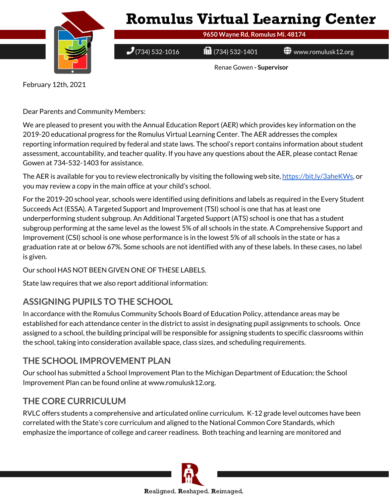

February 12th, 2021

Dear Parents and Community Members:

We are pleased to present you with the Annual Education Report (AER) which provides key information on the 2019-20 educational progress for the Romulus Virtual Learning Center. The AER addresses the complex reporting information required by federal and state laws. The school's report contains information about student assessment, accountability, and teacher quality. If you have any questions about the AER, please contact Renae Gowen at 734-532-1403 for assistance.

The AER is available for you to review electronically by visiting the following web site, [https://bit.ly/3aheKWs,](https://bit.ly/3aheKWs) or you may review a copy in the main office at your child's school.

For the 2019-20 school year, schools were identified using definitions and labels as required in the Every Student Succeeds Act (ESSA). A Targeted Support and Improvement (TSI) school is one that has at least one underperforming student subgroup. An Additional Targeted Support (ATS) school is one that has a student subgroup performing at the same level as the lowest 5% of all schools in the state. A Comprehensive Support and Improvement (CSI) school is one whose performance is in the lowest 5% of all schools in the state or has a graduation rate at or below 67%. Some schools are not identified with any of these labels. In these cases, no label is given.

Our school HAS NOT BEEN GIVEN ONE OF THESE LABELS.

State law requires that we also report additional information:

# **ASSIGNING PUPILS TO THE SCHOOL**

In accordance with the Romulus Community Schools Board of Education Policy, attendance areas may be established for each attendance center in the district to assist in designating pupil assignments to schools. Once assigned to a school, the building principal will be responsible for assigning students to specific classrooms within the school, taking into consideration available space, class sizes, and scheduling requirements.

# **THE SCHOOL IMPROVEMENT PLAN**

Our school has submitted a School Improvement Plan to the Michigan Department of Education; the School Improvement Plan can be found online at www.romulusk12.org.

# **THE CORE CURRICULUM**

RVLC offers students a comprehensive and articulated online curriculum. K-12 grade level outcomes have been correlated with the State's core curriculum and aligned to the National Common Core Standards, which emphasize the importance of college and career readiness. Both teaching and learning are monitored and

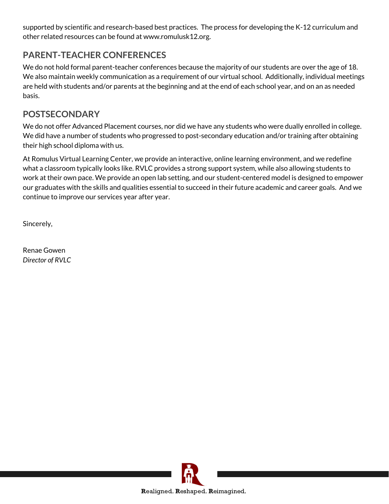supported by scientific and research-based best practices. The process for developing the K-12 curriculum and other related resources can be found at www.romulusk12.org.

# **PARENT-TEACHER CONFERENCES**

We do not hold formal parent-teacher conferences because the majority of our students are over the age of 18. We also maintain weekly communication as a requirement of our virtual school. Additionally, individual meetings are held with students and/or parents at the beginning and at the end of each school year, and on an as needed basis.

# **POSTSECONDARY**

We do not offer Advanced Placement courses, nor did we have any students who were dually enrolled in college. We did have a number of students who progressed to post-secondary education and/or training after obtaining their high school diploma with us.

At Romulus Virtual Learning Center, we provide an interactive, online learning environment, and we redefine what a classroom typically looks like. RVLC provides a strong support system, while also allowing students to work at their own pace. We provide an open lab setting, and our student-centered model is designed to empower our graduates with the skills and qualities essential to succeed in their future academic and career goals. And we continue to improve our services year after year.

Sincerely,

Renae Gowen *Director of RVLC*

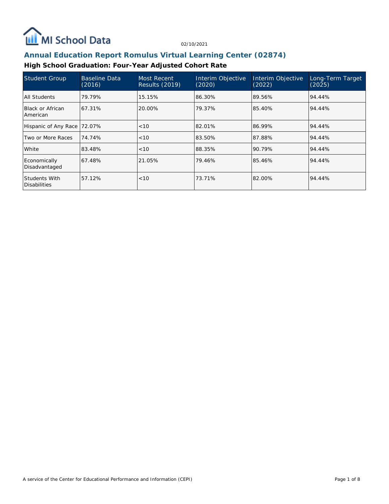

## **Annual Education Report Romulus Virtual Learning Center (02874)**

## **High School Graduation: Four-Year Adjusted Cohort Rate**

| <b>Student Group</b>                 | Baseline Data<br>(2016) | Most Recent<br><b>Results (2019)</b> | Interim Objective<br>(2020) | Interim Objective<br>(2022) | Long-Term Target<br>(2025) |
|--------------------------------------|-------------------------|--------------------------------------|-----------------------------|-----------------------------|----------------------------|
| All Students                         | 79.79%                  | 15.15%                               | l86.30%                     | 89.56%                      | 94.44%                     |
| Black or African<br>American         | 67.31%                  | 20.00%                               | 79.37%                      | 85.40%                      | 94.44%                     |
| Hispanic of Any Race                 | 72.07%                  | < 10                                 | 82.01%                      | 86.99%                      | 94.44%                     |
| Two or More Races                    | 74.74%                  | <10                                  | 83.50%                      | 87.88%                      | 94.44%                     |
| White                                | 83.48%                  | < 10                                 | 88.35%                      | 90.79%                      | 94.44%                     |
| Economically<br>Disadvantaged        | 67.48%                  | 21.05%                               | 79.46%                      | 85.46%                      | 94.44%                     |
| Students With<br><b>Disabilities</b> | 57.12%                  | < 10                                 | 73.71%                      | 82.00%                      | 94.44%                     |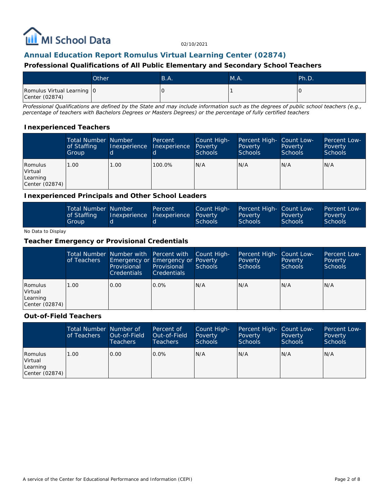

### **Annual Education Report Romulus Virtual Learning Center (02874)**

#### **Professional Qualifications of All Public Elementary and Secondary School Teachers**

|                                              | Other | B.A. | M.A. | Ph.D.        |
|----------------------------------------------|-------|------|------|--------------|
| Romulus Virtual Learning 0<br>Center (02874) |       |      |      | <sup>1</sup> |

*Professional Qualifications are defined by the State and may include information such as the degrees of public school teachers (e.g., percentage of teachers with Bachelors Degrees or Masters Degrees) or the percentage of fully certified teachers*

#### **Inexperienced Teachers**

|                                                  | <b>Total Number Number</b><br>of Staffing<br>Group | Inexperience      | Percent<br>Inexperience | Count High-<br>Poverty<br><b>Schools</b> | Percent High- Count Low-<br>Poverty<br><b>Schools</b> | Poverty<br><b>Schools</b> | Percent Low-<br>Poverty<br><b>Schools</b> |
|--------------------------------------------------|----------------------------------------------------|-------------------|-------------------------|------------------------------------------|-------------------------------------------------------|---------------------------|-------------------------------------------|
| Romulus<br>Virtual<br>Learning<br>Center (02874) | 1.00                                               | 1.00 <sub>1</sub> | 100.0%                  | N/A                                      | N/A                                                   | N/A                       | N/A                                       |

#### **Inexperienced Principals and Other School Leaders**

| <b>Total Number Number</b><br>of Staffing | Inexperience | Percent<br><b>Inexperience Poverty</b> | Count High- | Percent High- Count Low-<br>Poverty | Poverty        | <b>Percent Low-</b><br>Poverty |
|-------------------------------------------|--------------|----------------------------------------|-------------|-------------------------------------|----------------|--------------------------------|
| Group                                     |              |                                        | Schools     | Schools                             | <b>Schools</b> | Schools <sup>1</sup>           |

#### No Data to Display

#### **Teacher Emergency or Provisional Credentials**

|                                                  | of Teachers | Total Number Number with Percent with Count High-<br>Emergency or Emergency or Poverty<br>Provisional<br><b>Credentials</b> | Provisional<br><b>Credentials</b> | Schools | Percent High- Count Low-<br>Poverty<br>Schools | Poverty<br>Schools | Percent Low-<br>Poverty<br><b>Schools</b> |
|--------------------------------------------------|-------------|-----------------------------------------------------------------------------------------------------------------------------|-----------------------------------|---------|------------------------------------------------|--------------------|-------------------------------------------|
| Romulus<br>Virtual<br>Learning<br>Center (02874) | 1.00        | 0.00                                                                                                                        | $0.0\%$                           | IN/A    | IN/A                                           | N/A                | IN/A                                      |

#### **Out-of-Field Teachers**

|                                                  | Total Number Number of<br>of Teachers | Out-of-Field<br><b>Teachers</b> | Percent of<br>Out-of-Field<br>Teachers | Count High-<br>Poverty<br>Schools | Percent High- Count Low-<br>Poverty<br><b>Schools</b> | Poverty<br><b>Schools</b> | Percent Low-<br>Poverty<br><b>Schools</b> |
|--------------------------------------------------|---------------------------------------|---------------------------------|----------------------------------------|-----------------------------------|-------------------------------------------------------|---------------------------|-------------------------------------------|
| Romulus<br>Virtual<br>Learning<br>Center (02874) | 1.00                                  | 0.00                            | $0.0\%$                                | N/A                               | N/A                                                   | IN/A                      | IN/A                                      |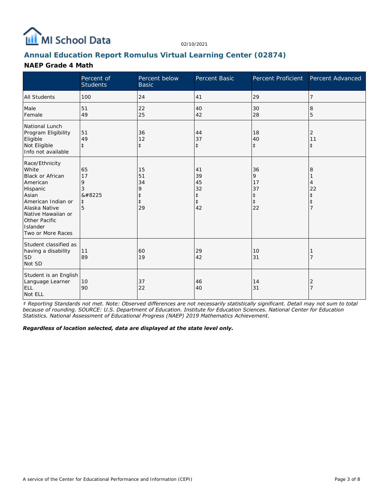

## **Annual Education Report Romulus Virtual Learning Center (02874)**

#### **NAEP Grade 4 Math**

|                                                                                                                                                                                                    | Percent of<br><b>Students</b>              | Percent below<br><b>Basic</b>                         | Percent Basic                                          | Percent Proficient                                    | Percent Advanced                                           |
|----------------------------------------------------------------------------------------------------------------------------------------------------------------------------------------------------|--------------------------------------------|-------------------------------------------------------|--------------------------------------------------------|-------------------------------------------------------|------------------------------------------------------------|
| <b>All Students</b>                                                                                                                                                                                | 100                                        | 24                                                    | 41                                                     | 29                                                    | 7                                                          |
| Male<br>Female                                                                                                                                                                                     | 51<br>49                                   | 22<br>25                                              | 40<br>42                                               | 30<br>28                                              | 8<br>5                                                     |
| National Lunch<br>Program Eligibility<br>Eligible<br>Not Eligible<br>Info not available                                                                                                            | 51<br>49<br>$\ddagger$                     | 36<br>12<br>$\ddagger$                                | 44<br>37<br>$\ddagger$                                 | 18<br>40<br>$\ddagger$                                | 2<br>11<br>$\ddagger$                                      |
| Race/Ethnicity<br>White<br><b>Black or African</b><br>American<br>Hispanic<br>Asian<br>American Indian or<br>Alaska Native<br>Native Hawaiian or<br>Other Pacific<br>Islander<br>Two or More Races | 65<br>17<br>9<br>3<br>‡<br>$\ddagger$<br>5 | 15<br>51<br>34<br>9<br>$\ddagger$<br>$\ddagger$<br>29 | 41<br>39<br>45<br>32<br>$\ddagger$<br>$\ddagger$<br>42 | 36<br>9<br>17<br>37<br>$\ddagger$<br>$\ddagger$<br>22 | 8<br>4<br>22<br>$\ddagger$<br>$\ddagger$<br>$\overline{7}$ |
| Student classified as<br>having a disability<br><b>SD</b><br>Not SD                                                                                                                                | 11<br>89                                   | 60<br>19                                              | 29<br>42                                               | 10<br>31                                              |                                                            |
| Student is an English<br>Language Learner<br><b>ELL</b><br>Not ELL                                                                                                                                 | 10<br>90                                   | 37<br>22                                              | 46<br>40                                               | 14<br>31                                              | $\overline{2}$<br>$\overline{7}$                           |

*‡ Reporting Standards not met. Note: Observed differences are not necessarily statistically significant. Detail may not sum to total because of rounding. SOURCE: U.S. Department of Education. Institute for Education Sciences. National Center for Education Statistics. National Assessment of Educational Progress (NAEP) 2019 Mathematics Achievement.*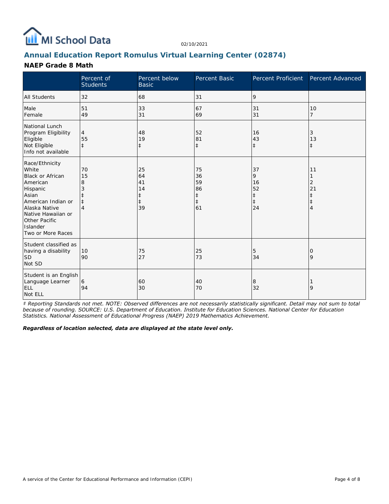

## **Annual Education Report Romulus Virtual Learning Center (02874)**

### **NAEP Grade 8 Math**

|                                                                                                                                                                                                    | Percent of<br><b>Students</b>      | Percent below<br><b>Basic</b>                 | Percent Basic                                          | Percent Proficient                                    | Percent Advanced                      |
|----------------------------------------------------------------------------------------------------------------------------------------------------------------------------------------------------|------------------------------------|-----------------------------------------------|--------------------------------------------------------|-------------------------------------------------------|---------------------------------------|
| <b>All Students</b>                                                                                                                                                                                | 32                                 | 68                                            | 31                                                     | 9                                                     |                                       |
| Male<br>Female                                                                                                                                                                                     | 51<br>49                           | 33<br>31                                      | 67<br>69                                               | 31<br>31                                              | 10<br>$\overline{7}$                  |
| National Lunch<br>Program Eligibility<br>Eligible<br>Not Eligible<br>Info not available                                                                                                            | $\overline{4}$<br>55<br>$\ddagger$ | 48<br>19<br>$\ddagger$                        | 52<br>81<br>$\ddagger$                                 | 16<br>43<br>$\pm$                                     | 3<br>13<br>$\ddagger$                 |
| Race/Ethnicity<br>White<br><b>Black or African</b><br>American<br>Hispanic<br>Asian<br>American Indian or<br>Alaska Native<br>Native Hawaiian or<br>Other Pacific<br>Islander<br>Two or More Races | 70<br>15<br>8<br>$\ddagger$<br>4   | 25<br>64<br>41<br>14<br>ŧ<br>$\ddagger$<br>39 | 75<br>36<br>59<br>86<br>$\ddagger$<br>$\ddagger$<br>61 | 37<br>9<br>16<br>52<br>$\ddagger$<br>$\ddagger$<br>24 | 11<br>2<br>21<br>‡<br>$\ddagger$<br>4 |
| Student classified as<br>having a disability<br><b>SD</b><br>Not SD                                                                                                                                | 10<br>90                           | 75<br>27                                      | 25<br>73                                               | 5<br>34                                               | 0<br>9                                |
| Student is an English<br>Language Learner<br><b>ELL</b><br>Not ELL                                                                                                                                 | 6<br>94                            | 60<br>30                                      | 40<br>70                                               | 8<br>32                                               | 9                                     |

*‡ Reporting Standards not met. NOTE: Observed differences are not necessarily statistically significant. Detail may not sum to total because of rounding. SOURCE: U.S. Department of Education. Institute for Education Sciences. National Center for Education Statistics. National Assessment of Educational Progress (NAEP) 2019 Mathematics Achievement.*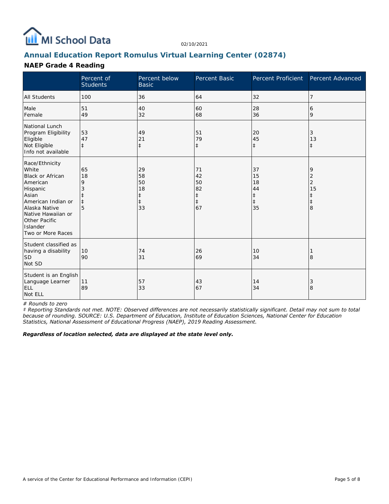

## **Annual Education Report Romulus Virtual Learning Center (02874)**

### **NAEP Grade 4 Reading**

|                                                                                                                                                                                             | Percent of<br><b>Students</b> | Percent below<br><b>Basic</b>                 | Percent Basic                                          | Percent Proficient                                     | Percent Advanced                                  |
|---------------------------------------------------------------------------------------------------------------------------------------------------------------------------------------------|-------------------------------|-----------------------------------------------|--------------------------------------------------------|--------------------------------------------------------|---------------------------------------------------|
| All Students                                                                                                                                                                                | 100                           | 36                                            | 64                                                     | 32                                                     | 7                                                 |
| Male<br>Female                                                                                                                                                                              | 51<br>49                      | 40<br>32                                      | 60<br>68                                               | 28<br>36                                               | 6<br>9                                            |
| National Lunch<br>Program Eligibility<br>Eligible<br>Not Eligible<br>Info not available                                                                                                     | 53<br>47<br>$\pm$             | 49<br>21<br>$\ddagger$                        | 51<br>79<br>$\ddagger$                                 | 20<br>45<br>$\ddagger$                                 | 3<br>13<br>ŧ.                                     |
| Race/Ethnicity<br>White<br>Black or African<br>American<br>Hispanic<br>Asian<br>American Indian or<br>Alaska Native<br>Native Hawaiian or<br>Other Pacific<br>Islander<br>Two or More Races | 65<br>18<br>9<br>$\ddagger$   | 29<br>58<br>50<br>18<br>‡<br>$\ddagger$<br>33 | 71<br>42<br>50<br>82<br>$\ddagger$<br>$\ddagger$<br>67 | 37<br>15<br>18<br>44<br>$\ddagger$<br>$\ddagger$<br>35 | 9<br>2<br>$\overline{2}$<br>15<br>$\ddagger$<br>8 |
| Student classified as<br>having a disability<br><b>SD</b><br>Not SD                                                                                                                         | 10<br>90                      | 74<br>31                                      | 26<br>69                                               | 10<br>34                                               | 8                                                 |
| Student is an English<br>Language Learner<br><b>ELL</b><br>Not ELL                                                                                                                          | 11<br>89                      | 57<br>33                                      | 43<br>67                                               | 14<br>34                                               | 3<br>8                                            |

*# Rounds to zero*

*‡ Reporting Standards not met. NOTE: Observed differences are not necessarily statistically significant. Detail may not sum to total because of rounding. SOURCE: U.S. Department of Education, Institute of Education Sciences, National Center for Education Statistics, National Assessment of Educational Progress (NAEP), 2019 Reading Assessment.*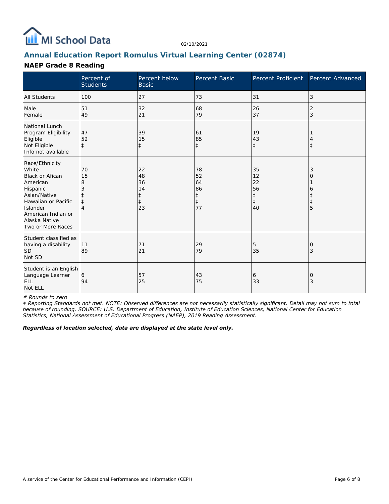

## **Annual Education Report Romulus Virtual Learning Center (02874)**

### **NAEP Grade 8 Reading**

|                                                                                                                                                                                          | Percent of<br><b>Students</b> | Percent below<br><b>Basic</b>                          | Percent Basic                                          | Percent Proficient                                     | Percent Advanced |
|------------------------------------------------------------------------------------------------------------------------------------------------------------------------------------------|-------------------------------|--------------------------------------------------------|--------------------------------------------------------|--------------------------------------------------------|------------------|
| <b>All Students</b>                                                                                                                                                                      | 100                           | 27                                                     | 73                                                     | 31                                                     | 3                |
| Male<br>Female                                                                                                                                                                           | 51<br>49                      | 32<br>21                                               | 68<br>79                                               | 26<br>37                                               | 2<br>3           |
| National Lunch<br>Program Eligibility<br>Eligible<br>Not Eligible<br>Info not available                                                                                                  | 47<br>52<br>$\ddagger$        | 39<br>15<br>$\ddagger$                                 | 61<br>85<br>$\ddagger$                                 | 19<br>43<br>$\ddagger$                                 | $\ddagger$       |
| Race/Ethnicity<br>White<br><b>Black or Afican</b><br>American<br>Hispanic<br>Asian/Native<br>Hawaiian or Pacific<br>Islander<br>American Indian or<br>Alaska Native<br>Two or More Races | 70<br>15<br>8                 | 22<br>48<br>36<br>14<br>$\ddagger$<br>$\ddagger$<br>23 | 78<br>52<br>64<br>86<br>$\ddagger$<br>$\ddagger$<br>77 | 35<br>12<br>22<br>56<br>$\ddagger$<br>$\ddagger$<br>40 | 3<br>Ο<br>6<br>5 |
| Student classified as<br>having a disability<br><b>SD</b><br>Not SD                                                                                                                      | 11<br>89                      | 71<br>21                                               | 29<br>79                                               | 5<br>35                                                | O<br>3           |
| Student is an English<br>Language Learner<br><b>ELL</b><br>Not ELL                                                                                                                       | 6<br>94                       | 57<br>25                                               | 43<br>75                                               | 6<br>33                                                | 0<br>3           |

*# Rounds to zero*

*‡ Reporting Standards not met. NOTE: Observed differences are not necessarily statistically significant. Detail may not sum to total because of rounding. SOURCE: U.S. Department of Education, Institute of Education Sciences, National Center for Education Statistics, National Assessment of Educational Progress (NAEP), 2019 Reading Assessment.*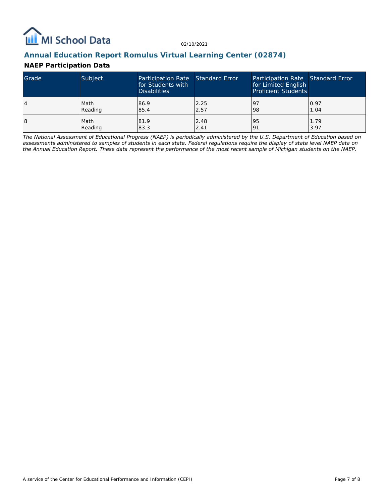

### **Annual Education Report Romulus Virtual Learning Center (02874)**

### **NAEP Participation Data**

| Grade | Subject | Participation Rate Standard Error<br>for Students with<br><b>Disabilities</b> |      | Participation Rate Standard Error<br>for Limited English<br><b>Proficient Students</b> |      |
|-------|---------|-------------------------------------------------------------------------------|------|----------------------------------------------------------------------------------------|------|
| 14    | Math    | 86.9                                                                          | 2.25 | 197                                                                                    | 0.97 |
|       | Reading | 85.4                                                                          | 2.57 | 98                                                                                     | 1.04 |
| 18    | Math    | 81.9                                                                          | 2.48 | 95                                                                                     | 1.79 |
|       | Reading | 83.3                                                                          | 2.41 | <u>o</u>                                                                               | 3.97 |

*The National Assessment of Educational Progress (NAEP) is periodically administered by the U.S. Department of Education based on assessments administered to samples of students in each state. Federal regulations require the display of state level NAEP data on the Annual Education Report. These data represent the performance of the most recent sample of Michigan students on the NAEP.*